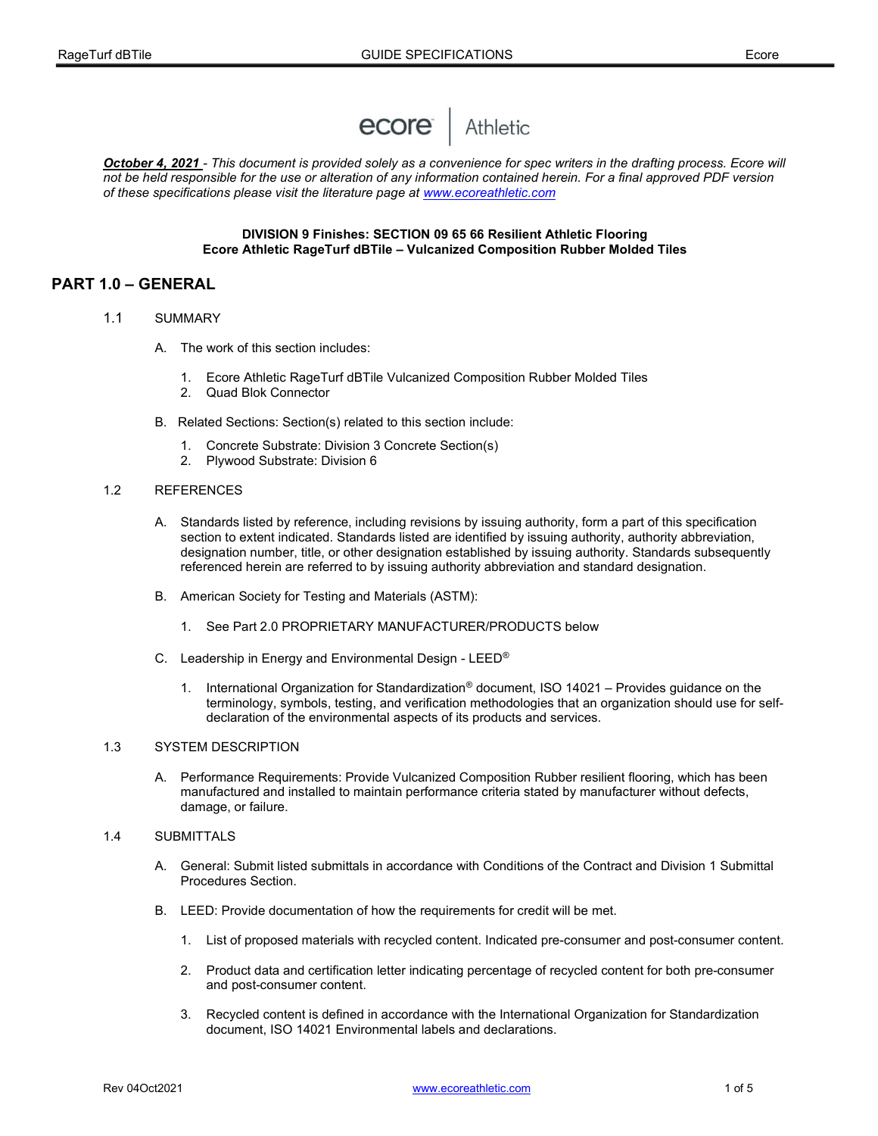

October 4, 2021 - This document is provided solely as a convenience for spec writers in the drafting process. Ecore will not be held responsible for the use or alteration of any information contained herein. For a final approved PDF version of these specifications please visit the literature page at www.ecoreathletic.com

#### DIVISION 9 Finishes: SECTION 09 65 66 Resilient Athletic Flooring Ecore Athletic RageTurf dBTile – Vulcanized Composition Rubber Molded Tiles

# PART 1.0 – GENERAL

- 1.1 SUMMARY
	- A. The work of this section includes:
		- 1. Ecore Athletic RageTurf dBTile Vulcanized Composition Rubber Molded Tiles
		- 2. Quad Blok Connector
	- B. Related Sections: Section(s) related to this section include:
		- 1. Concrete Substrate: Division 3 Concrete Section(s)
		- 2. Plywood Substrate: Division 6
- 1.2 REFERENCES
	- A. Standards listed by reference, including revisions by issuing authority, form a part of this specification section to extent indicated. Standards listed are identified by issuing authority, authority abbreviation, designation number, title, or other designation established by issuing authority. Standards subsequently referenced herein are referred to by issuing authority abbreviation and standard designation.
	- B. American Society for Testing and Materials (ASTM):
		- 1. See Part 2.0 PROPRIETARY MANUFACTURER/PRODUCTS below
	- C. Leadership in Energy and Environmental Design LEED®
		- International Organization for Standardization<sup>®</sup> document, ISO 14021 Provides guidance on the terminology, symbols, testing, and verification methodologies that an organization should use for selfdeclaration of the environmental aspects of its products and services.

#### 1.3 SYSTEM DESCRIPTION

 A. Performance Requirements: Provide Vulcanized Composition Rubber resilient flooring, which has been manufactured and installed to maintain performance criteria stated by manufacturer without defects, damage, or failure.

#### 1.4 SUBMITTALS

- A. General: Submit listed submittals in accordance with Conditions of the Contract and Division 1 Submittal Procedures Section.
- B. LEED: Provide documentation of how the requirements for credit will be met.
	- 1. List of proposed materials with recycled content. Indicated pre-consumer and post-consumer content.
	- 2. Product data and certification letter indicating percentage of recycled content for both pre-consumer and post-consumer content.
	- 3. Recycled content is defined in accordance with the International Organization for Standardization document, ISO 14021 Environmental labels and declarations.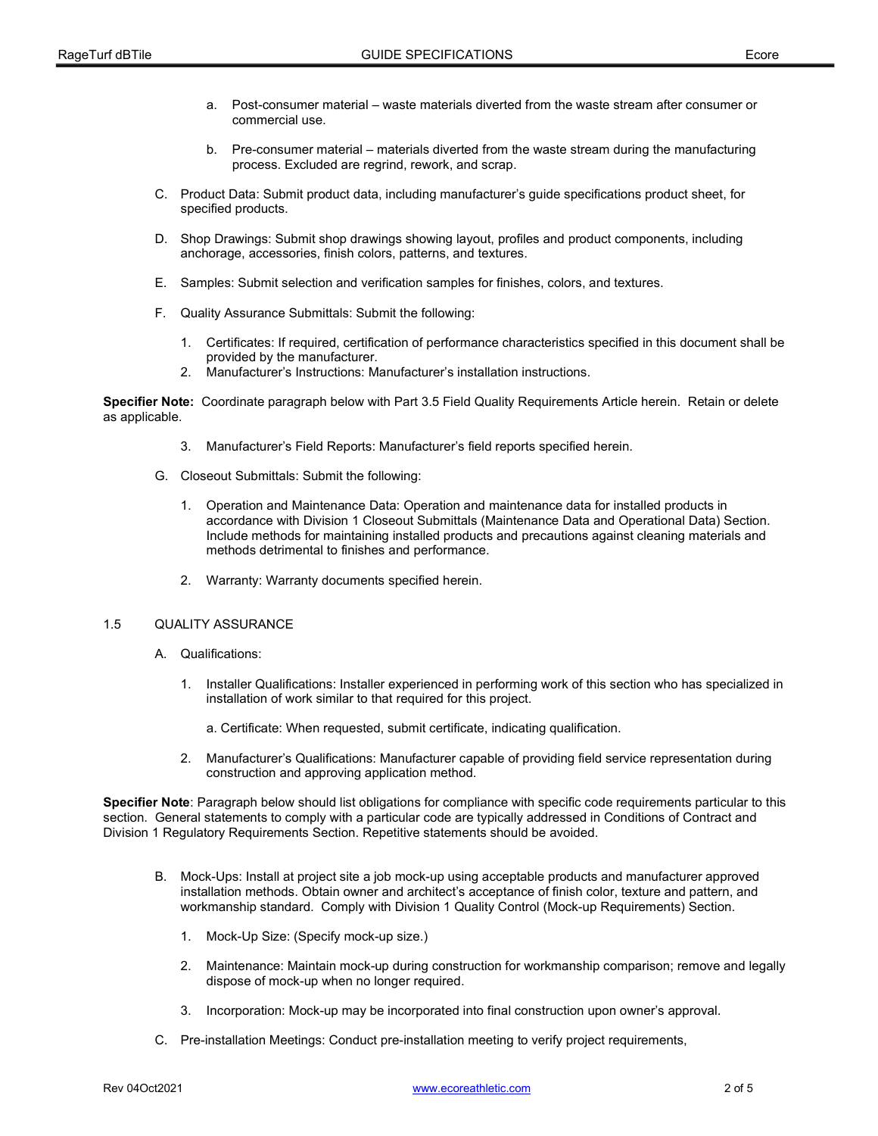- a. Post-consumer material waste materials diverted from the waste stream after consumer or commercial use.
- b. Pre-consumer material materials diverted from the waste stream during the manufacturing process. Excluded are regrind, rework, and scrap.
- C. Product Data: Submit product data, including manufacturer's guide specifications product sheet, for specified products.
- D. Shop Drawings: Submit shop drawings showing layout, profiles and product components, including anchorage, accessories, finish colors, patterns, and textures.
- E. Samples: Submit selection and verification samples for finishes, colors, and textures.
- F. Quality Assurance Submittals: Submit the following:
	- 1. Certificates: If required, certification of performance characteristics specified in this document shall be provided by the manufacturer.
	- 2. Manufacturer's Instructions: Manufacturer's installation instructions.

Specifier Note: Coordinate paragraph below with Part 3.5 Field Quality Requirements Article herein. Retain or delete as applicable.

- 3. Manufacturer's Field Reports: Manufacturer's field reports specified herein.
- G. Closeout Submittals: Submit the following:
	- 1. Operation and Maintenance Data: Operation and maintenance data for installed products in accordance with Division 1 Closeout Submittals (Maintenance Data and Operational Data) Section. Include methods for maintaining installed products and precautions against cleaning materials and methods detrimental to finishes and performance.
	- 2. Warranty: Warranty documents specified herein.

#### 1.5 QUALITY ASSURANCE

- A. Qualifications:
	- 1. Installer Qualifications: Installer experienced in performing work of this section who has specialized in installation of work similar to that required for this project.
		- a. Certificate: When requested, submit certificate, indicating qualification.
	- 2. Manufacturer's Qualifications: Manufacturer capable of providing field service representation during construction and approving application method.

Specifier Note: Paragraph below should list obligations for compliance with specific code requirements particular to this section. General statements to comply with a particular code are typically addressed in Conditions of Contract and Division 1 Regulatory Requirements Section. Repetitive statements should be avoided.

- B. Mock-Ups: Install at project site a job mock-up using acceptable products and manufacturer approved installation methods. Obtain owner and architect's acceptance of finish color, texture and pattern, and workmanship standard. Comply with Division 1 Quality Control (Mock-up Requirements) Section.
	- 1. Mock-Up Size: (Specify mock-up size.)
	- 2. Maintenance: Maintain mock-up during construction for workmanship comparison; remove and legally dispose of mock-up when no longer required.
	- 3. Incorporation: Mock-up may be incorporated into final construction upon owner's approval.
- C. Pre-installation Meetings: Conduct pre-installation meeting to verify project requirements,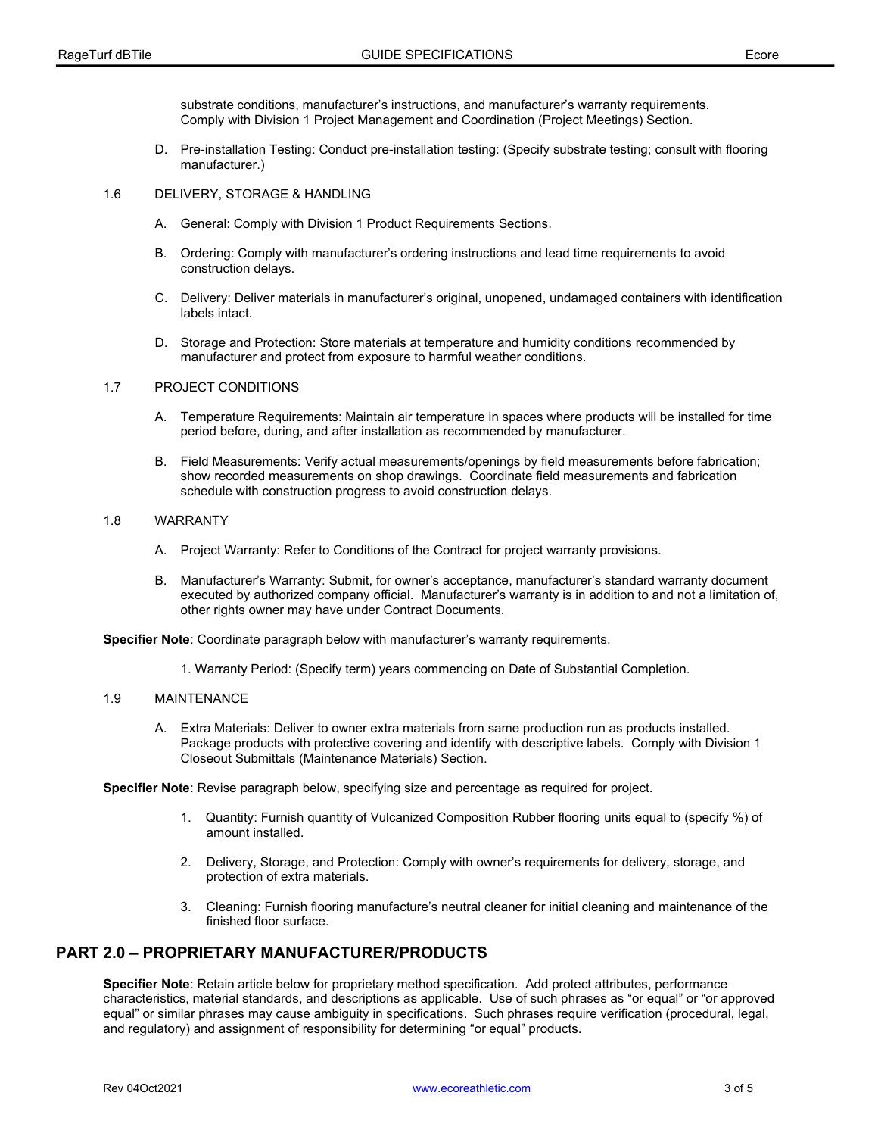substrate conditions, manufacturer's instructions, and manufacturer's warranty requirements. Comply with Division 1 Project Management and Coordination (Project Meetings) Section.

 D. Pre-installation Testing: Conduct pre-installation testing: (Specify substrate testing; consult with flooring manufacturer.)

#### 1.6 DELIVERY, STORAGE & HANDLING

- A. General: Comply with Division 1 Product Requirements Sections.
- B. Ordering: Comply with manufacturer's ordering instructions and lead time requirements to avoid construction delays.
- C. Delivery: Deliver materials in manufacturer's original, unopened, undamaged containers with identification labels intact.
- D. Storage and Protection: Store materials at temperature and humidity conditions recommended by manufacturer and protect from exposure to harmful weather conditions.

### 1.7 PROJECT CONDITIONS

- A. Temperature Requirements: Maintain air temperature in spaces where products will be installed for time period before, during, and after installation as recommended by manufacturer.
- B. Field Measurements: Verify actual measurements/openings by field measurements before fabrication; show recorded measurements on shop drawings. Coordinate field measurements and fabrication schedule with construction progress to avoid construction delays.

#### 1.8 WARRANTY

- A. Project Warranty: Refer to Conditions of the Contract for project warranty provisions.
- B. Manufacturer's Warranty: Submit, for owner's acceptance, manufacturer's standard warranty document executed by authorized company official. Manufacturer's warranty is in addition to and not a limitation of, other rights owner may have under Contract Documents.

Specifier Note: Coordinate paragraph below with manufacturer's warranty requirements.

1. Warranty Period: (Specify term) years commencing on Date of Substantial Completion.

#### 1.9 MAINTENANCE

 A. Extra Materials: Deliver to owner extra materials from same production run as products installed. Package products with protective covering and identify with descriptive labels. Comply with Division 1 Closeout Submittals (Maintenance Materials) Section.

Specifier Note: Revise paragraph below, specifying size and percentage as required for project.

- 1. Quantity: Furnish quantity of Vulcanized Composition Rubber flooring units equal to (specify %) of amount installed.
- 2. Delivery, Storage, and Protection: Comply with owner's requirements for delivery, storage, and protection of extra materials.
- 3. Cleaning: Furnish flooring manufacture's neutral cleaner for initial cleaning and maintenance of the finished floor surface.

# PART 2.0 – PROPRIETARY MANUFACTURER/PRODUCTS

Specifier Note: Retain article below for proprietary method specification. Add protect attributes, performance characteristics, material standards, and descriptions as applicable. Use of such phrases as "or equal" or "or approved equal" or similar phrases may cause ambiguity in specifications. Such phrases require verification (procedural, legal, and regulatory) and assignment of responsibility for determining "or equal" products.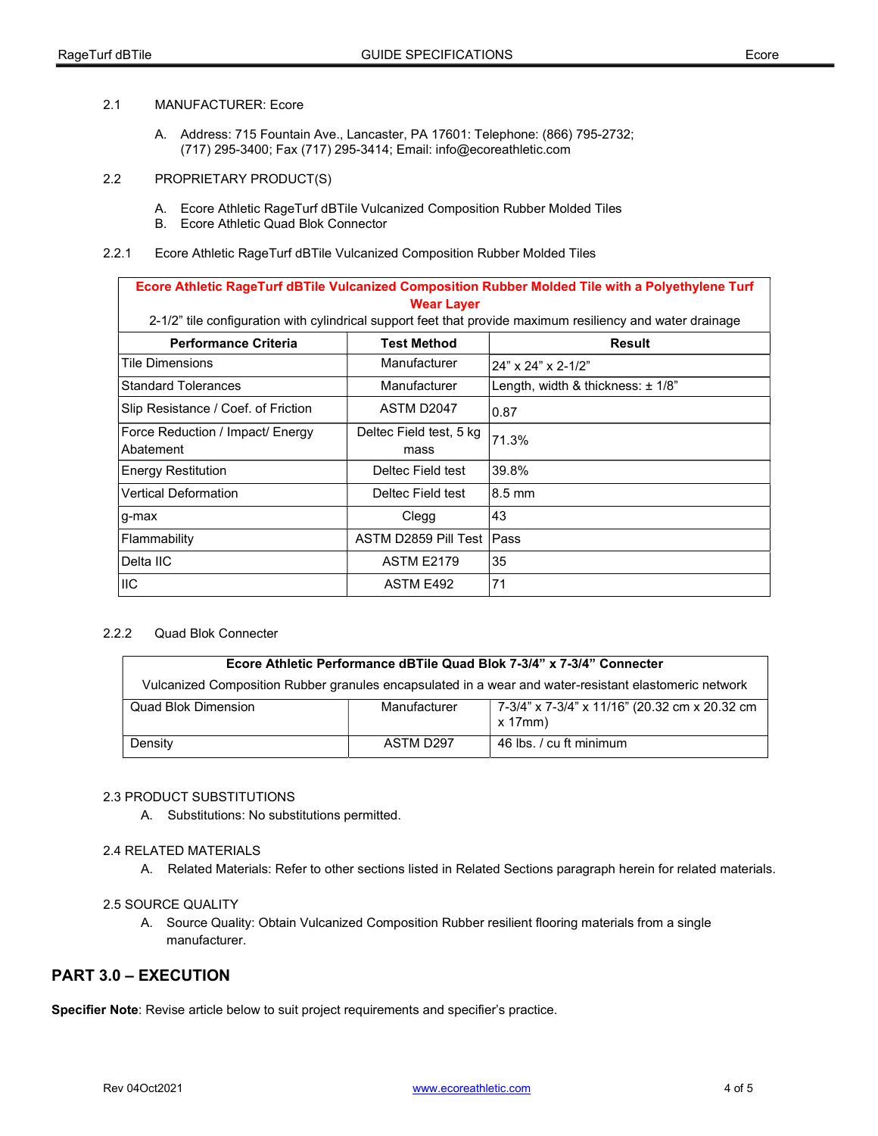### 2.1 MANUFACTURER: Ecore

- A. Address: 715 Fountain Ave., Lancaster, PA 17601: Telephone: (866) 795-2732; (717) 295-3400; Fax (717) 295-3414; Email: info@ecoreathletic.com
- 2.2 PROPRIETARY PRODUCT(S)
	- A. Ecore Athletic RageTurf dBTile Vulcanized Composition Rubber Molded Tiles
	- B. Ecore Athletic Quad Blok Connector
- 2.2.1 Ecore Athletic RageTurf dBTile Vulcanized Composition Rubber Molded Tiles

## Ecore Athletic RageTurf dBTile Vulcanized Composition Rubber Molded Tile with a Polyethylene Turf Wear Layer 2-1/2" tile configuration with cylindrical support feet that provide maximum resiliency and water drainage Performance Criteria Test Method Nesult Tile Dimensions  $\vert$  Manufacturer  $\vert$  24" x 24" x 2-1/2" Standard Tolerances Manufacturer Length, width & thickness:  $\pm$  1/8" Slip Resistance / Coef. of Friction  $\vert$  ASTM D2047  $\vert$  0.87 Force Reduction / Impact/ Energy Abatement Deltec Field test, 5 kg mass 71.3% Energy Restitution **Deltec Field test** 39.8% Vertical Deformation **Deltec Field test** 8.5 mm g-max Clegg |43 Flammability **ASTM D2859 Pill Test Pass**

#### 2.2.2 Quad Blok Connecter

| Ecore Athletic Performance dBTile Quad Blok 7-3/4" x 7-3/4" Connecter                                 |              |                                                                |
|-------------------------------------------------------------------------------------------------------|--------------|----------------------------------------------------------------|
| Vulcanized Composition Rubber granules encapsulated in a wear and water-resistant elastomeric network |              |                                                                |
| Quad Blok Dimension                                                                                   | Manufacturer | 7-3/4" x 7-3/4" x 11/16" (20.32 cm x 20.32 cm<br>$x$ 17 $mm$ ) |
| Density                                                                                               | ASTM D297    | 46 lbs. / cu ft minimum                                        |

#### 2.3 PRODUCT SUBSTITUTIONS

A. Substitutions: No substitutions permitted.

Delta IIC ASTM E2179 35  $\vert$  ASTM E492  $\vert$  71

#### 2.4 RELATED MATERIALS

A. Related Materials: Refer to other sections listed in Related Sections paragraph herein for related materials.

#### 2.5 SOURCE QUALITY

A. Source Quality: Obtain Vulcanized Composition Rubber resilient flooring materials from a single manufacturer.

## PART 3.0 – EXECUTION

Specifier Note: Revise article below to suit project requirements and specifier's practice.